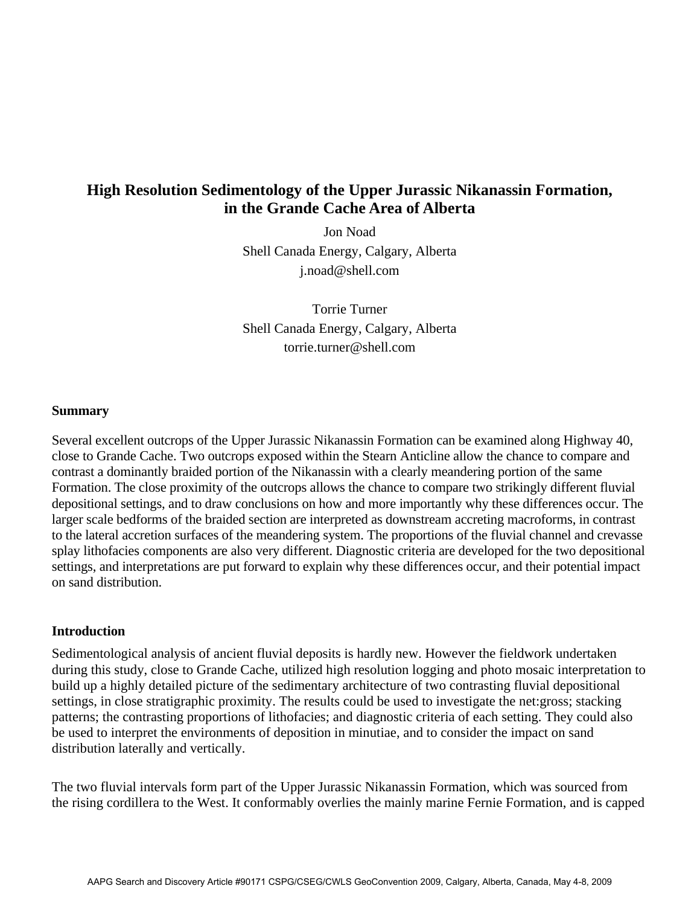# **High Resolution Sedimentology of the Upper Jurassic Nikanassin Formation, in the Grande Cache Area of Alberta**

Jon Noad Shell Canada Energy, Calgary, Alberta j.noad@shell.com

Torrie Turner Shell Canada Energy, Calgary, Alberta torrie.turner@shell.com

#### **Summary**

Several excellent outcrops of the Upper Jurassic Nikanassin Formation can be examined along Highway 40, close to Grande Cache. Two outcrops exposed within the Stearn Anticline allow the chance to compare and contrast a dominantly braided portion of the Nikanassin with a clearly meandering portion of the same Formation. The close proximity of the outcrops allows the chance to compare two strikingly different fluvial depositional settings, and to draw conclusions on how and more importantly why these differences occur. The larger scale bedforms of the braided section are interpreted as downstream accreting macroforms, in contrast to the lateral accretion surfaces of the meandering system. The proportions of the fluvial channel and crevasse splay lithofacies components are also very different. Diagnostic criteria are developed for the two depositional settings, and interpretations are put forward to explain why these differences occur, and their potential impact on sand distribution.

#### **Introduction**

Sedimentological analysis of ancient fluvial deposits is hardly new. However the fieldwork undertaken during this study, close to Grande Cache, utilized high resolution logging and photo mosaic interpretation to build up a highly detailed picture of the sedimentary architecture of two contrasting fluvial depositional settings, in close stratigraphic proximity. The results could be used to investigate the net:gross; stacking patterns; the contrasting proportions of lithofacies; and diagnostic criteria of each setting. They could also be used to interpret the environments of deposition in minutiae, and to consider the impact on sand distribution laterally and vertically.

The two fluvial intervals form part of the Upper Jurassic Nikanassin Formation, which was sourced from the rising cordillera to the West. It conformably overlies the mainly marine Fernie Formation, and is capped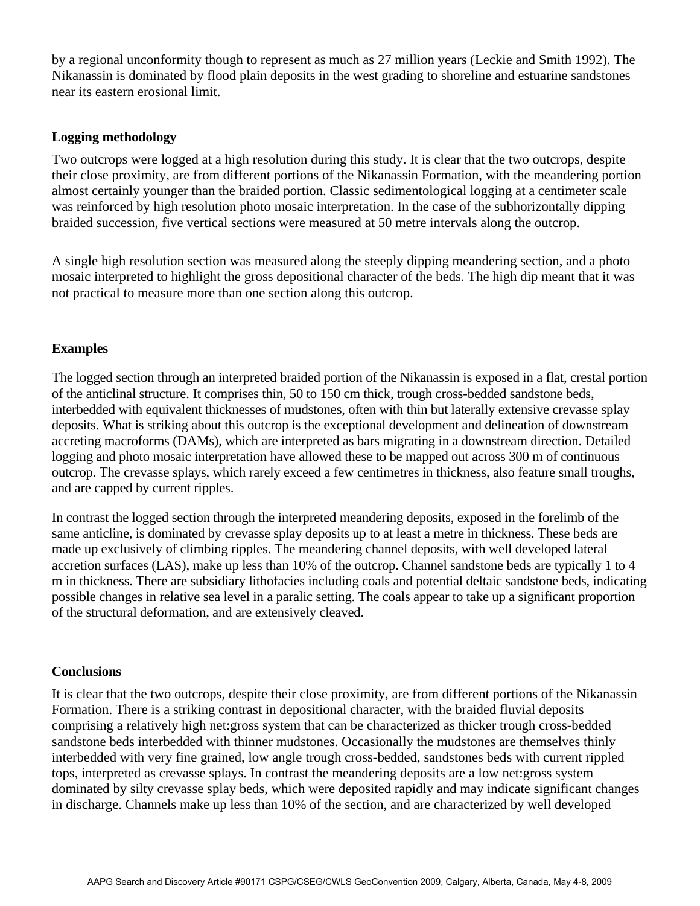by a regional unconformity though to represent as much as 27 million years (Leckie and Smith 1992). The Nikanassin is dominated by flood plain deposits in the west grading to shoreline and estuarine sandstones near its eastern erosional limit.

### **Logging methodology**

Two outcrops were logged at a high resolution during this study. It is clear that the two outcrops, despite their close proximity, are from different portions of the Nikanassin Formation, with the meandering portion almost certainly younger than the braided portion. Classic sedimentological logging at a centimeter scale was reinforced by high resolution photo mosaic interpretation. In the case of the subhorizontally dipping braided succession, five vertical sections were measured at 50 metre intervals along the outcrop.

A single high resolution section was measured along the steeply dipping meandering section, and a photo mosaic interpreted to highlight the gross depositional character of the beds. The high dip meant that it was not practical to measure more than one section along this outcrop.

### **Examples**

The logged section through an interpreted braided portion of the Nikanassin is exposed in a flat, crestal portion of the anticlinal structure. It comprises thin, 50 to 150 cm thick, trough cross-bedded sandstone beds, interbedded with equivalent thicknesses of mudstones, often with thin but laterally extensive crevasse splay deposits. What is striking about this outcrop is the exceptional development and delineation of downstream accreting macroforms (DAMs), which are interpreted as bars migrating in a downstream direction. Detailed logging and photo mosaic interpretation have allowed these to be mapped out across 300 m of continuous outcrop. The crevasse splays, which rarely exceed a few centimetres in thickness, also feature small troughs, and are capped by current ripples.

In contrast the logged section through the interpreted meandering deposits, exposed in the forelimb of the same anticline, is dominated by crevasse splay deposits up to at least a metre in thickness. These beds are made up exclusively of climbing ripples. The meandering channel deposits, with well developed lateral accretion surfaces (LAS), make up less than 10% of the outcrop. Channel sandstone beds are typically 1 to 4 m in thickness. There are subsidiary lithofacies including coals and potential deltaic sandstone beds, indicating possible changes in relative sea level in a paralic setting. The coals appear to take up a significant proportion of the structural deformation, and are extensively cleaved.

## **Conclusions**

It is clear that the two outcrops, despite their close proximity, are from different portions of the Nikanassin Formation. There is a striking contrast in depositional character, with the braided fluvial deposits comprising a relatively high net:gross system that can be characterized as thicker trough cross-bedded sandstone beds interbedded with thinner mudstones. Occasionally the mudstones are themselves thinly interbedded with very fine grained, low angle trough cross-bedded, sandstones beds with current rippled tops, interpreted as crevasse splays. In contrast the meandering deposits are a low net:gross system dominated by silty crevasse splay beds, which were deposited rapidly and may indicate significant changes in discharge. Channels make up less than 10% of the section, and are characterized by well developed